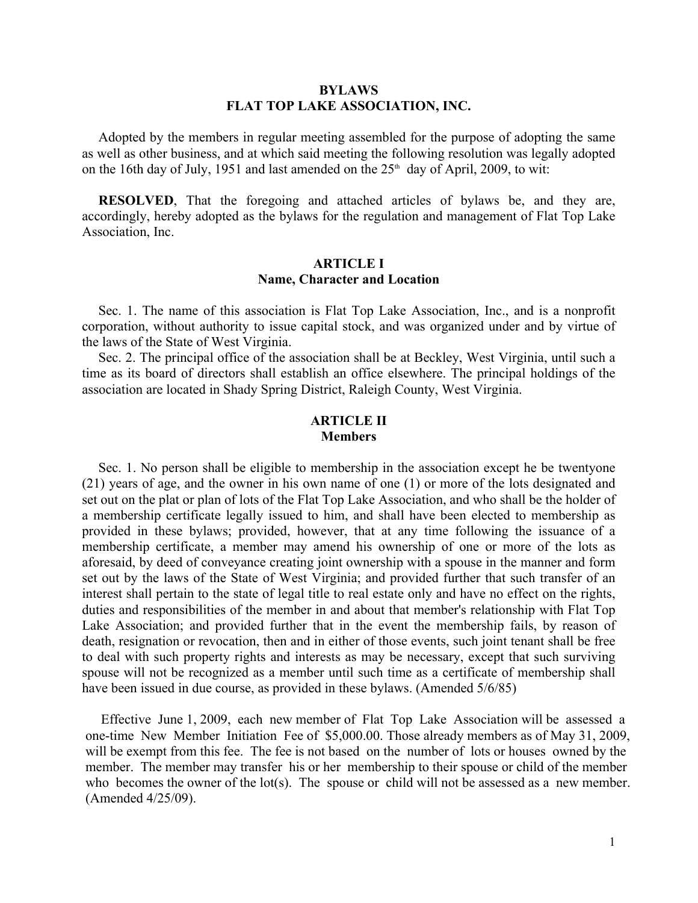### **BYLAWS FLAT TOP LAKE ASSOCIATION, INC.**

Adopted by the members in regular meeting assembled for the purpose of adopting the same as well as other business, and at which said meeting the following resolution was legally adopted on the 16th day of July, 1951 and last amended on the  $25<sup>th</sup>$  day of April, 2009, to wit:

**RESOLVED**, That the foregoing and attached articles of bylaws be, and they are, accordingly, hereby adopted as the bylaws for the regulation and management of Flat Top Lake Association, Inc.

## **ARTICLE I Name, Character and Location**

Sec. 1. The name of this association is Flat Top Lake Association, Inc., and is a nonprofit corporation, without authority to issue capital stock, and was organized under and by virtue of the laws of the State of West Virginia.

Sec. 2. The principal office of the association shall be at Beckley, West Virginia, until such a time as its board of directors shall establish an office elsewhere. The principal holdings of the association are located in Shady Spring District, Raleigh County, West Virginia.

# **ARTICLE II Members**

Sec. 1. No person shall be eligible to membership in the association except he be twentyone (21) years of age, and the owner in his own name of one (1) or more of the lots designated and set out on the plat or plan of lots of the Flat Top Lake Association, and who shall be the holder of a membership certificate legally issued to him, and shall have been elected to membership as provided in these bylaws; provided, however, that at any time following the issuance of a membership certificate, a member may amend his ownership of one or more of the lots as aforesaid, by deed of conveyance creating joint ownership with a spouse in the manner and form set out by the laws of the State of West Virginia; and provided further that such transfer of an interest shall pertain to the state of legal title to real estate only and have no effect on the rights, duties and responsibilities of the member in and about that member's relationship with Flat Top Lake Association; and provided further that in the event the membership fails, by reason of death, resignation or revocation, then and in either of those events, such joint tenant shall be free to deal with such property rights and interests as may be necessary, except that such surviving spouse will not be recognized as a member until such time as a certificate of membership shall have been issued in due course, as provided in these bylaws. (Amended 5/6/85)

Effective June 1, 2009, each new member of Flat Top Lake Association will be assessed a one-time New Member Initiation Fee of \$5,000.00. Those already members as of May 31, 2009, will be exempt from this fee. The fee is not based on the number of lots or houses owned by the member. The member may transfer his or her membership to their spouse or child of the member who becomes the owner of the lot(s). The spouse or child will not be assessed as a new member. (Amended 4/25/09).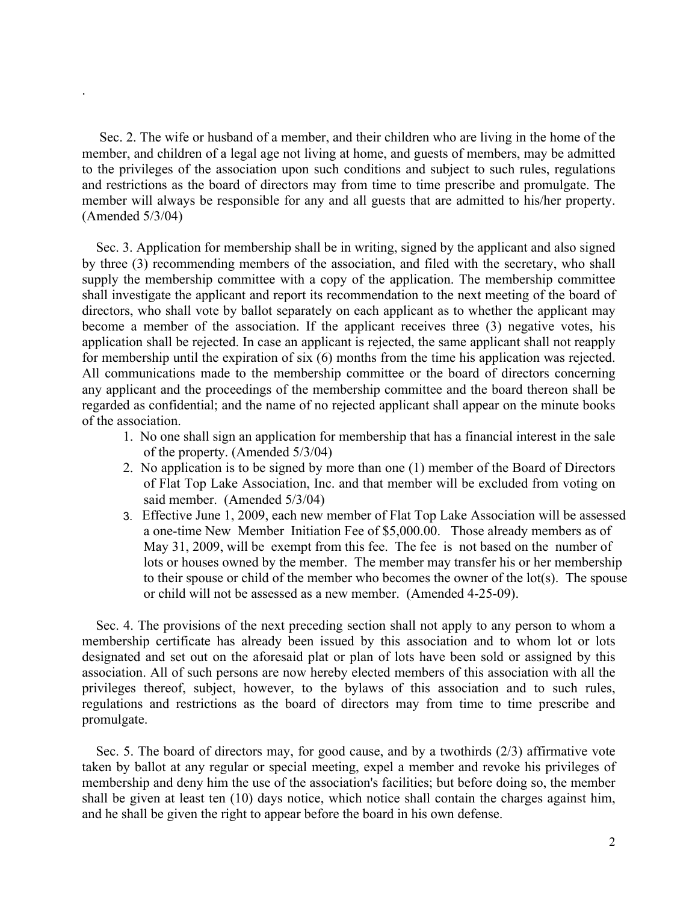. Sec. 2. The wife or husband of a member, and their children who are living in the home of the member, and children of a legal age not living at home, and guests of members, may be admitted to the privileges of the association upon such conditions and subject to such rules, regulations and restrictions as the board of directors may from time to time prescribe and promulgate. The member will always be responsible for any and all guests that are admitted to his/her property. (Amended 5/3/04)

Sec. 3. Application for membership shall be in writing, signed by the applicant and also signed by three (3) recommending members of the association, and filed with the secretary, who shall supply the membership committee with a copy of the application. The membership committee shall investigate the applicant and report its recommendation to the next meeting of the board of directors, who shall vote by ballot separately on each applicant as to whether the applicant may become a member of the association. If the applicant receives three (3) negative votes, his application shall be rejected. In case an applicant is rejected, the same applicant shall not reapply for membership until the expiration of six (6) months from the time his application was rejected. All communications made to the membership committee or the board of directors concerning any applicant and the proceedings of the membership committee and the board thereon shall be regarded as confidential; and the name of no rejected applicant shall appear on the minute books of the association.

- 1. No one shall sign an application for membership that has a financial interest in the sale of the property. (Amended 5/3/04)
- 2. No application is to be signed by more than one (1) member of the Board of Directors of Flat Top Lake Association, Inc. and that member will be excluded from voting on said member. (Amended 5/3/04)
- 3. Effective June 1, 2009, each new member of Flat Top Lake Association will be assessed a one-time New Member Initiation Fee of \$5,000.00. Those already members as of May 31, 2009, will be exempt from this fee. The fee is not based on the number of lots or houses owned by the member. The member may transfer his or her membership to their spouse or child of the member who becomes the owner of the lot(s). The spouse or child will not be assessed as a new member. (Amended 4-25-09).

Sec. 4. The provisions of the next preceding section shall not apply to any person to whom a membership certificate has already been issued by this association and to whom lot or lots designated and set out on the aforesaid plat or plan of lots have been sold or assigned by this association. All of such persons are now hereby elected members of this association with all the privileges thereof, subject, however, to the bylaws of this association and to such rules, regulations and restrictions as the board of directors may from time to time prescribe and promulgate.

Sec. 5. The board of directors may, for good cause, and by a twothirds (2/3) affirmative vote taken by ballot at any regular or special meeting, expel a member and revoke his privileges of membership and deny him the use of the association's facilities; but before doing so, the member shall be given at least ten (10) days notice, which notice shall contain the charges against him, and he shall be given the right to appear before the board in his own defense.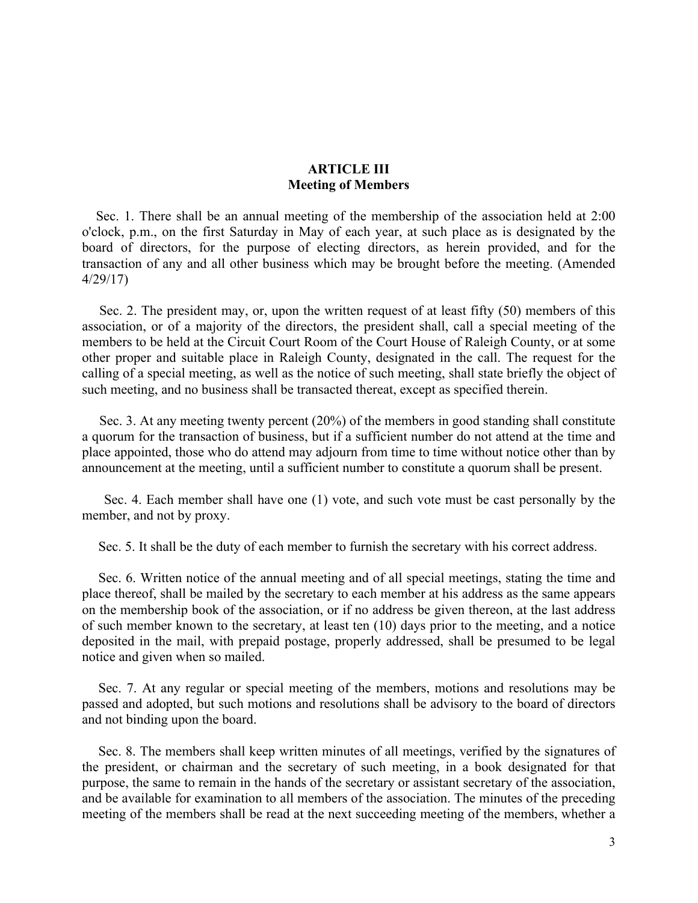# **ARTICLE III Meeting of Members**

Sec. 1. There shall be an annual meeting of the membership of the association held at 2:00 o'clock, p.m., on the first Saturday in May of each year, at such place as is designated by the board of directors, for the purpose of electing directors, as herein provided, and for the transaction of any and all other business which may be brought before the meeting. (Amended 4/29/17)

Sec. 2. The president may, or, upon the written request of at least fifty (50) members of this association, or of a majority of the directors, the president shall, call a special meeting of the members to be held at the Circuit Court Room of the Court House of Raleigh County, or at some other proper and suitable place in Raleigh County, designated in the call. The request for the calling of a special meeting, as well as the notice of such meeting, shall state briefly the object of such meeting, and no business shall be transacted thereat, except as specified therein.

Sec. 3. At any meeting twenty percent (20%) of the members in good standing shall constitute a quorum for the transaction of business, but if a sufficient number do not attend at the time and place appointed, those who do attend may adjourn from time to time without notice other than by announcement at the meeting, until a sufficient number to constitute a quorum shall be present.

Sec. 4. Each member shall have one (1) vote, and such vote must be cast personally by the member, and not by proxy.

Sec. 5. It shall be the duty of each member to furnish the secretary with his correct address.

Sec. 6. Written notice of the annual meeting and of all special meetings, stating the time and place thereof, shall be mailed by the secretary to each member at his address as the same appears on the membership book of the association, or if no address be given thereon, at the last address of such member known to the secretary, at least ten (10) days prior to the meeting, and a notice deposited in the mail, with prepaid postage, properly addressed, shall be presumed to be legal notice and given when so mailed.

Sec. 7. At any regular or special meeting of the members, motions and resolutions may be passed and adopted, but such motions and resolutions shall be advisory to the board of directors and not binding upon the board.

Sec. 8. The members shall keep written minutes of all meetings, verified by the signatures of the president, or chairman and the secretary of such meeting, in a book designated for that purpose, the same to remain in the hands of the secretary or assistant secretary of the association, and be available for examination to all members of the association. The minutes of the preceding meeting of the members shall be read at the next succeeding meeting of the members, whether a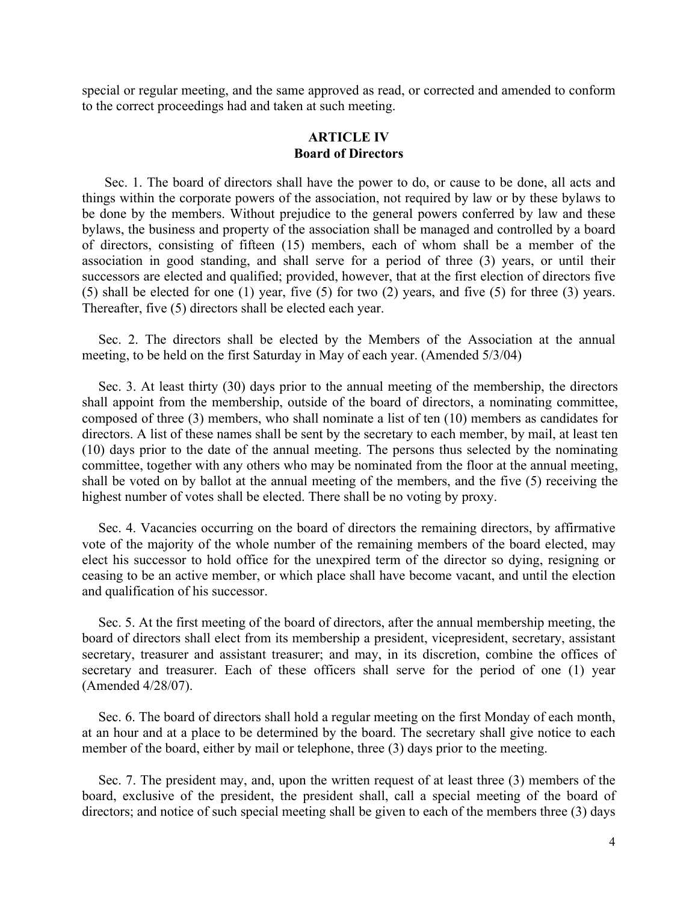special or regular meeting, and the same approved as read, or corrected and amended to conform to the correct proceedings had and taken at such meeting.

## **ARTICLE IV Board of Directors**

Sec. 1. The board of directors shall have the power to do, or cause to be done, all acts and things within the corporate powers of the association, not required by law or by these bylaws to be done by the members. Without prejudice to the general powers conferred by law and these bylaws, the business and property of the association shall be managed and controlled by a board of directors, consisting of fifteen (15) members, each of whom shall be a member of the association in good standing, and shall serve for a period of three (3) years, or until their successors are elected and qualified; provided, however, that at the first election of directors five (5) shall be elected for one (1) year, five (5) for two (2) years, and five (5) for three (3) years. Thereafter, five (5) directors shall be elected each year.

Sec. 2. The directors shall be elected by the Members of the Association at the annual meeting, to be held on the first Saturday in May of each year. (Amended 5/3/04)

Sec. 3. At least thirty (30) days prior to the annual meeting of the membership, the directors shall appoint from the membership, outside of the board of directors, a nominating committee, composed of three (3) members, who shall nominate a list of ten (10) members as candidates for directors. A list of these names shall be sent by the secretary to each member, by mail, at least ten (10) days prior to the date of the annual meeting. The persons thus selected by the nominating committee, together with any others who may be nominated from the floor at the annual meeting, shall be voted on by ballot at the annual meeting of the members, and the five (5) receiving the highest number of votes shall be elected. There shall be no voting by proxy.

Sec. 4. Vacancies occurring on the board of directors the remaining directors, by affirmative vote of the majority of the whole number of the remaining members of the board elected, may elect his successor to hold office for the unexpired term of the director so dying, resigning or ceasing to be an active member, or which place shall have become vacant, and until the election and qualification of his successor.

Sec. 5. At the first meeting of the board of directors, after the annual membership meeting, the board of directors shall elect from its membership a president, vicepresident, secretary, assistant secretary, treasurer and assistant treasurer; and may, in its discretion, combine the offices of secretary and treasurer. Each of these officers shall serve for the period of one (1) year (Amended 4/28/07).

Sec. 6. The board of directors shall hold a regular meeting on the first Monday of each month, at an hour and at a place to be determined by the board. The secretary shall give notice to each member of the board, either by mail or telephone, three (3) days prior to the meeting.

Sec. 7. The president may, and, upon the written request of at least three (3) members of the board, exclusive of the president, the president shall, call a special meeting of the board of directors; and notice of such special meeting shall be given to each of the members three (3) days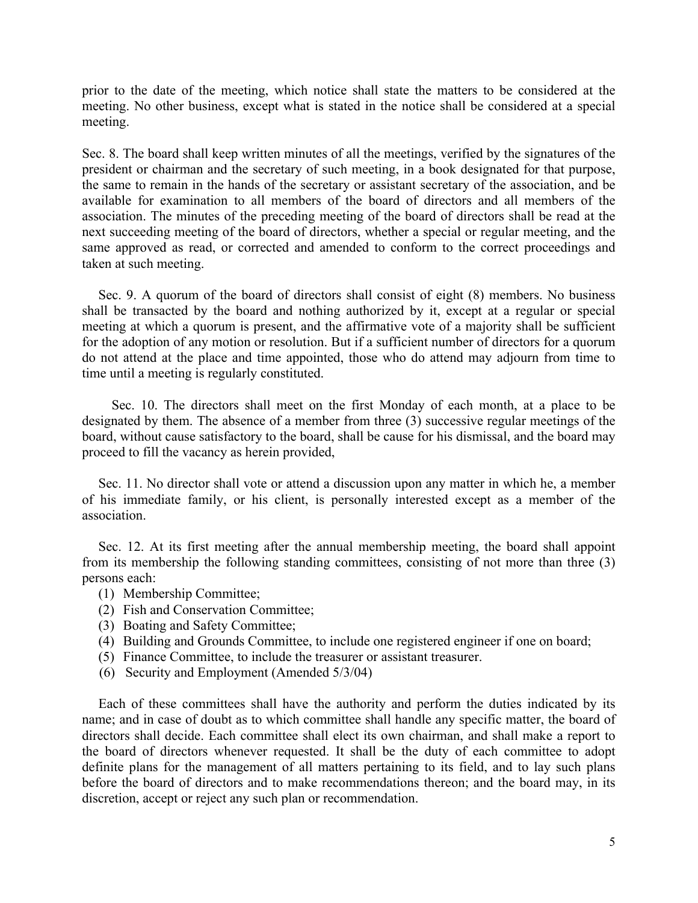prior to the date of the meeting, which notice shall state the matters to be considered at the meeting. No other business, except what is stated in the notice shall be considered at a special meeting.

Sec. 8. The board shall keep written minutes of all the meetings, verified by the signatures of the president or chairman and the secretary of such meeting, in a book designated for that purpose, the same to remain in the hands of the secretary or assistant secretary of the association, and be available for examination to all members of the board of directors and all members of the association. The minutes of the preceding meeting of the board of directors shall be read at the next succeeding meeting of the board of directors, whether a special or regular meeting, and the same approved as read, or corrected and amended to conform to the correct proceedings and taken at such meeting.

Sec. 9. A quorum of the board of directors shall consist of eight (8) members. No business shall be transacted by the board and nothing authorized by it, except at a regular or special meeting at which a quorum is present, and the affirmative vote of a majority shall be sufficient for the adoption of any motion or resolution. But if a sufficient number of directors for a quorum do not attend at the place and time appointed, those who do attend may adjourn from time to time until a meeting is regularly constituted.

Sec. 10. The directors shall meet on the first Monday of each month, at a place to be designated by them. The absence of a member from three (3) successive regular meetings of the board, without cause satisfactory to the board, shall be cause for his dismissal, and the board may proceed to fill the vacancy as herein provided,

Sec. 11. No director shall vote or attend a discussion upon any matter in which he, a member of his immediate family, or his client, is personally interested except as a member of the association.

Sec. 12. At its first meeting after the annual membership meeting, the board shall appoint from its membership the following standing committees, consisting of not more than three (3) persons each:

- (1) Membership Committee;
- (2) Fish and Conservation Committee;
- (3) Boating and Safety Committee;
- (4) Building and Grounds Committee, to include one registered engineer if one on board;
- (5) Finance Committee, to include the treasurer or assistant treasurer.
- (6) Security and Employment (Amended 5/3/04)

Each of these committees shall have the authority and perform the duties indicated by its name; and in case of doubt as to which committee shall handle any specific matter, the board of directors shall decide. Each committee shall elect its own chairman, and shall make a report to the board of directors whenever requested. It shall be the duty of each committee to adopt definite plans for the management of all matters pertaining to its field, and to lay such plans before the board of directors and to make recommendations thereon; and the board may, in its discretion, accept or reject any such plan or recommendation.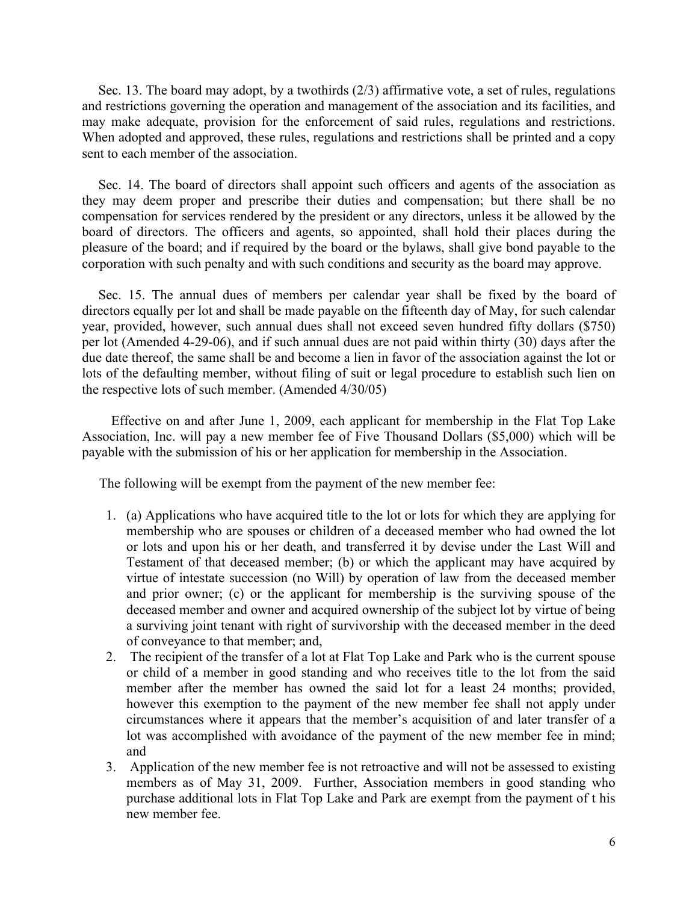Sec. 13. The board may adopt, by a twothirds (2/3) affirmative vote, a set of rules, regulations and restrictions governing the operation and management of the association and its facilities, and may make adequate, provision for the enforcement of said rules, regulations and restrictions. When adopted and approved, these rules, regulations and restrictions shall be printed and a copy sent to each member of the association.

Sec. 14. The board of directors shall appoint such officers and agents of the association as they may deem proper and prescribe their duties and compensation; but there shall be no compensation for services rendered by the president or any directors, unless it be allowed by the board of directors. The officers and agents, so appointed, shall hold their places during the pleasure of the board; and if required by the board or the bylaws, shall give bond payable to the corporation with such penalty and with such conditions and security as the board may approve.

Sec. 15. The annual dues of members per calendar year shall be fixed by the board of directors equally per lot and shall be made payable on the fifteenth day of May, for such calendar year, provided, however, such annual dues shall not exceed seven hundred fifty dollars (\$750) per lot (Amended 4-29-06), and if such annual dues are not paid within thirty (30) days after the due date thereof, the same shall be and become a lien in favor of the association against the lot or lots of the defaulting member, without filing of suit or legal procedure to establish such lien on the respective lots of such member. (Amended 4/30/05)

Effective on and after June 1, 2009, each applicant for membership in the Flat Top Lake Association, Inc. will pay a new member fee of Five Thousand Dollars (\$5,000) which will be payable with the submission of his or her application for membership in the Association.

The following will be exempt from the payment of the new member fee:

- 1. (a) Applications who have acquired title to the lot or lots for which they are applying for membership who are spouses or children of a deceased member who had owned the lot or lots and upon his or her death, and transferred it by devise under the Last Will and Testament of that deceased member; (b) or which the applicant may have acquired by virtue of intestate succession (no Will) by operation of law from the deceased member and prior owner; (c) or the applicant for membership is the surviving spouse of the deceased member and owner and acquired ownership of the subject lot by virtue of being a surviving joint tenant with right of survivorship with the deceased member in the deed of conveyance to that member; and,
- 2. The recipient of the transfer of a lot at Flat Top Lake and Park who is the current spouse or child of a member in good standing and who receives title to the lot from the said member after the member has owned the said lot for a least 24 months; provided, however this exemption to the payment of the new member fee shall not apply under circumstances where it appears that the member's acquisition of and later transfer of a lot was accomplished with avoidance of the payment of the new member fee in mind; and
- 3. Application of the new member fee is not retroactive and will not be assessed to existing members as of May 31, 2009. Further, Association members in good standing who purchase additional lots in Flat Top Lake and Park are exempt from the payment of t his new member fee.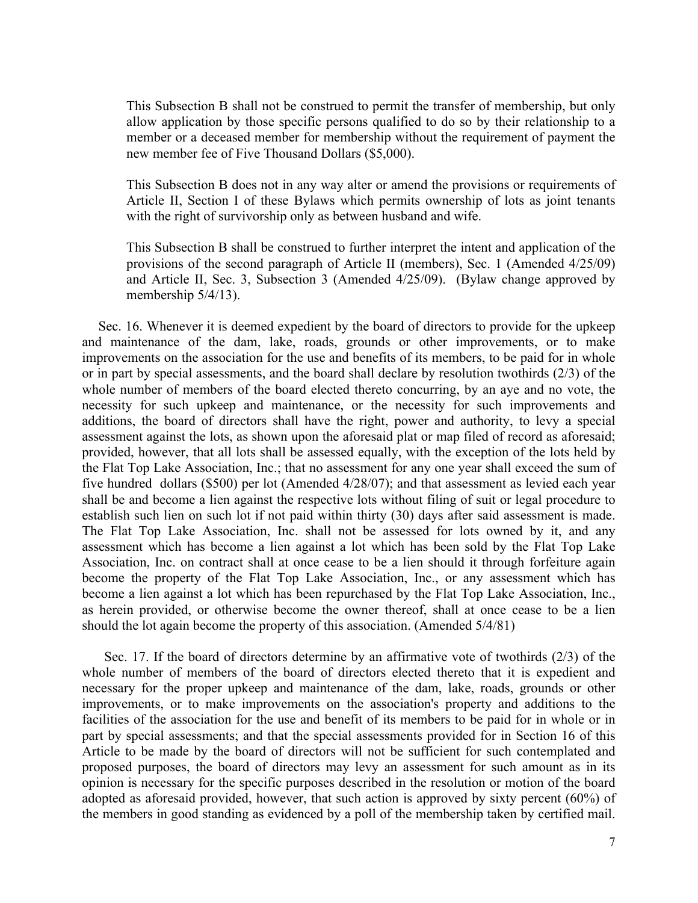This Subsection B shall not be construed to permit the transfer of membership, but only allow application by those specific persons qualified to do so by their relationship to a member or a deceased member for membership without the requirement of payment the new member fee of Five Thousand Dollars (\$5,000).

This Subsection B does not in any way alter or amend the provisions or requirements of Article II, Section I of these Bylaws which permits ownership of lots as joint tenants with the right of survivorship only as between husband and wife.

This Subsection B shall be construed to further interpret the intent and application of the provisions of the second paragraph of Article II (members), Sec. 1 (Amended 4/25/09) and Article II, Sec. 3, Subsection 3 (Amended 4/25/09). (Bylaw change approved by membership 5/4/13).

Sec. 16. Whenever it is deemed expedient by the board of directors to provide for the upkeep and maintenance of the dam, lake, roads, grounds or other improvements, or to make improvements on the association for the use and benefits of its members, to be paid for in whole or in part by special assessments, and the board shall declare by resolution twothirds (2/3) of the whole number of members of the board elected thereto concurring, by an aye and no vote, the necessity for such upkeep and maintenance, or the necessity for such improvements and additions, the board of directors shall have the right, power and authority, to levy a special assessment against the lots, as shown upon the aforesaid plat or map filed of record as aforesaid; provided, however, that all lots shall be assessed equally, with the exception of the lots held by the Flat Top Lake Association, Inc.; that no assessment for any one year shall exceed the sum of five hundred dollars (\$500) per lot (Amended 4/28/07); and that assessment as levied each year shall be and become a lien against the respective lots without filing of suit or legal procedure to establish such lien on such lot if not paid within thirty (30) days after said assessment is made. The Flat Top Lake Association, Inc. shall not be assessed for lots owned by it, and any assessment which has become a lien against a lot which has been sold by the Flat Top Lake Association, Inc. on contract shall at once cease to be a lien should it through forfeiture again become the property of the Flat Top Lake Association, Inc., or any assessment which has become a lien against a lot which has been repurchased by the Flat Top Lake Association, Inc., as herein provided, or otherwise become the owner thereof, shall at once cease to be a lien should the lot again become the property of this association. (Amended 5/4/81)

Sec. 17. If the board of directors determine by an affirmative vote of twothirds (2/3) of the whole number of members of the board of directors elected thereto that it is expedient and necessary for the proper upkeep and maintenance of the dam, lake, roads, grounds or other improvements, or to make improvements on the association's property and additions to the facilities of the association for the use and benefit of its members to be paid for in whole or in part by special assessments; and that the special assessments provided for in Section 16 of this Article to be made by the board of directors will not be sufficient for such contemplated and proposed purposes, the board of directors may levy an assessment for such amount as in its opinion is necessary for the specific purposes described in the resolution or motion of the board adopted as aforesaid provided, however, that such action is approved by sixty percent (60%) of the members in good standing as evidenced by a poll of the membership taken by certified mail.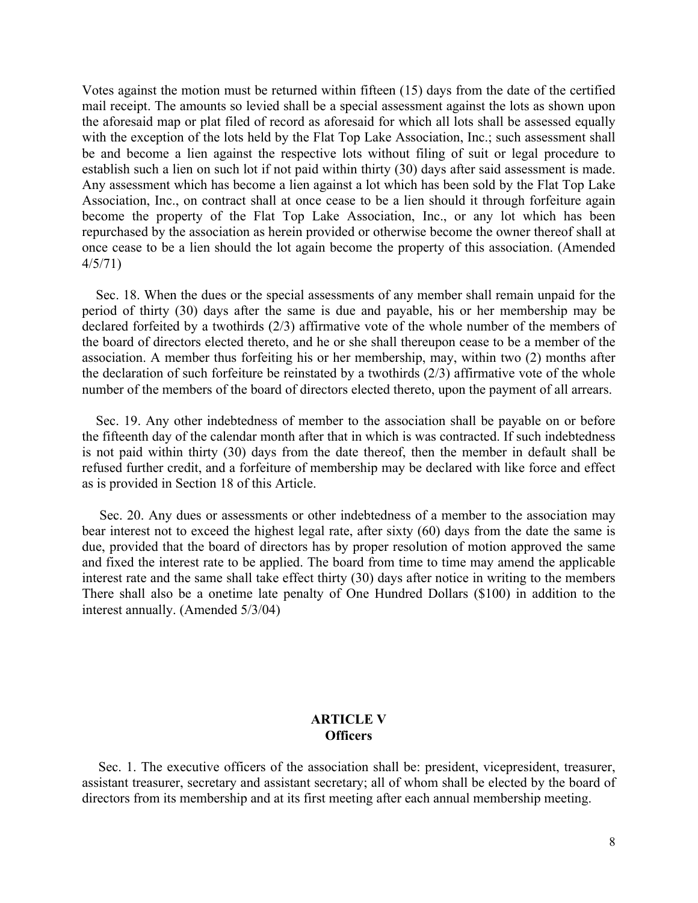Votes against the motion must be returned within fifteen (15) days from the date of the certified mail receipt. The amounts so levied shall be a special assessment against the lots as shown upon the aforesaid map or plat filed of record as aforesaid for which all lots shall be assessed equally with the exception of the lots held by the Flat Top Lake Association, Inc.; such assessment shall be and become a lien against the respective lots without filing of suit or legal procedure to establish such a lien on such lot if not paid within thirty (30) days after said assessment is made. Any assessment which has become a lien against a lot which has been sold by the Flat Top Lake Association, Inc., on contract shall at once cease to be a lien should it through forfeiture again become the property of the Flat Top Lake Association, Inc., or any lot which has been repurchased by the association as herein provided or otherwise become the owner thereof shall at once cease to be a lien should the lot again become the property of this association. (Amended 4/5/71)

Sec. 18. When the dues or the special assessments of any member shall remain unpaid for the period of thirty (30) days after the same is due and payable, his or her membership may be declared forfeited by a twothirds (2/3) affirmative vote of the whole number of the members of the board of directors elected thereto, and he or she shall thereupon cease to be a member of the association. A member thus forfeiting his or her membership, may, within two (2) months after the declaration of such forfeiture be reinstated by a twothirds (2/3) affirmative vote of the whole number of the members of the board of directors elected thereto, upon the payment of all arrears.

Sec. 19. Any other indebtedness of member to the association shall be payable on or before the fifteenth day of the calendar month after that in which is was contracted. If such indebtedness is not paid within thirty (30) days from the date thereof, then the member in default shall be refused further credit, and a forfeiture of membership may be declared with like force and effect as is provided in Section 18 of this Article.

Sec. 20. Any dues or assessments or other indebtedness of a member to the association may bear interest not to exceed the highest legal rate, after sixty (60) days from the date the same is due, provided that the board of directors has by proper resolution of motion approved the same and fixed the interest rate to be applied. The board from time to time may amend the applicable interest rate and the same shall take effect thirty (30) days after notice in writing to the members There shall also be a onetime late penalty of One Hundred Dollars (\$100) in addition to the interest annually. (Amended 5/3/04)

## **ARTICLE V Officers**

Sec. 1. The executive officers of the association shall be: president, vicepresident, treasurer, assistant treasurer, secretary and assistant secretary; all of whom shall be elected by the board of directors from its membership and at its first meeting after each annual membership meeting.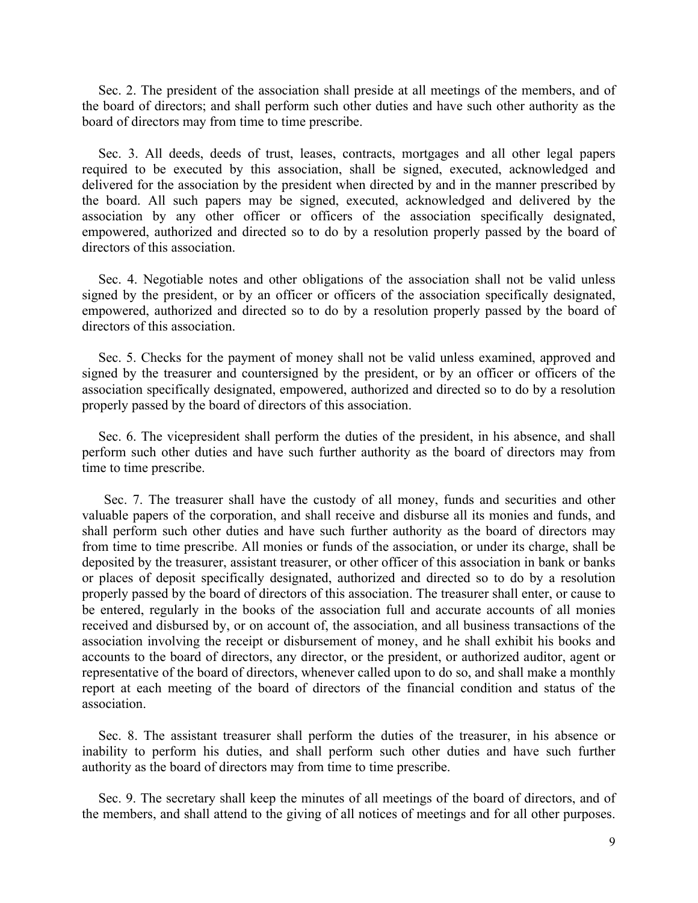Sec. 2. The president of the association shall preside at all meetings of the members, and of the board of directors; and shall perform such other duties and have such other authority as the board of directors may from time to time prescribe.

Sec. 3. All deeds, deeds of trust, leases, contracts, mortgages and all other legal papers required to be executed by this association, shall be signed, executed, acknowledged and delivered for the association by the president when directed by and in the manner prescribed by the board. All such papers may be signed, executed, acknowledged and delivered by the association by any other officer or officers of the association specifically designated, empowered, authorized and directed so to do by a resolution properly passed by the board of directors of this association.

Sec. 4. Negotiable notes and other obligations of the association shall not be valid unless signed by the president, or by an officer or officers of the association specifically designated, empowered, authorized and directed so to do by a resolution properly passed by the board of directors of this association.

Sec. 5. Checks for the payment of money shall not be valid unless examined, approved and signed by the treasurer and countersigned by the president, or by an officer or officers of the association specifically designated, empowered, authorized and directed so to do by a resolution properly passed by the board of directors of this association.

Sec. 6. The vicepresident shall perform the duties of the president, in his absence, and shall perform such other duties and have such further authority as the board of directors may from time to time prescribe.

Sec. 7. The treasurer shall have the custody of all money, funds and securities and other valuable papers of the corporation, and shall receive and disburse all its monies and funds, and shall perform such other duties and have such further authority as the board of directors may from time to time prescribe. All monies or funds of the association, or under its charge, shall be deposited by the treasurer, assistant treasurer, or other officer of this association in bank or banks or places of deposit specifically designated, authorized and directed so to do by a resolution properly passed by the board of directors of this association. The treasurer shall enter, or cause to be entered, regularly in the books of the association full and accurate accounts of all monies received and disbursed by, or on account of, the association, and all business transactions of the association involving the receipt or disbursement of money, and he shall exhibit his books and accounts to the board of directors, any director, or the president, or authorized auditor, agent or representative of the board of directors, whenever called upon to do so, and shall make a monthly report at each meeting of the board of directors of the financial condition and status of the association.

Sec. 8. The assistant treasurer shall perform the duties of the treasurer, in his absence or inability to perform his duties, and shall perform such other duties and have such further authority as the board of directors may from time to time prescribe.

Sec. 9. The secretary shall keep the minutes of all meetings of the board of directors, and of the members, and shall attend to the giving of all notices of meetings and for all other purposes.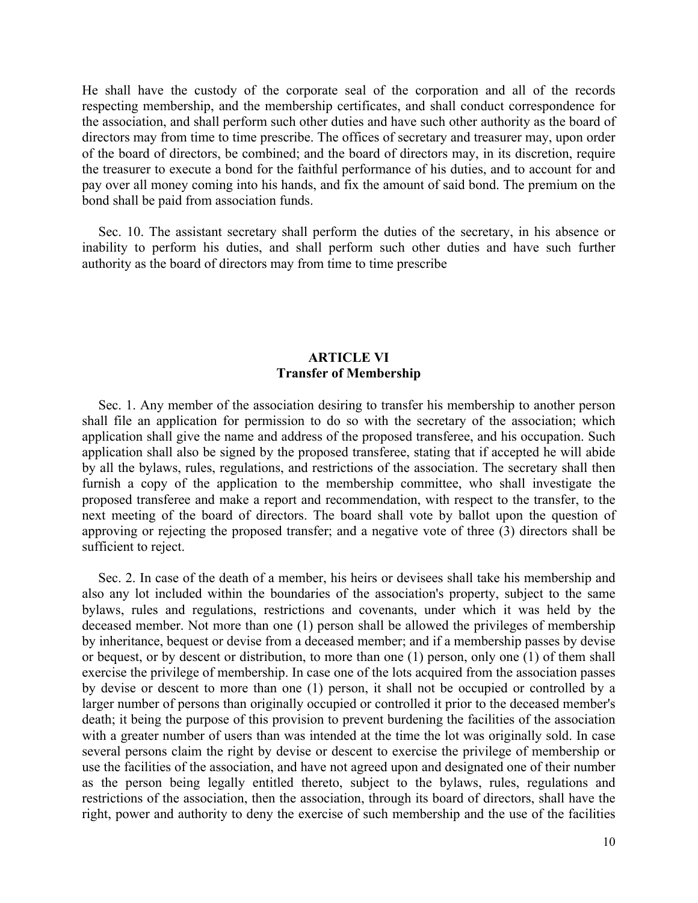He shall have the custody of the corporate seal of the corporation and all of the records respecting membership, and the membership certificates, and shall conduct correspondence for the association, and shall perform such other duties and have such other authority as the board of directors may from time to time prescribe. The offices of secretary and treasurer may, upon order of the board of directors, be combined; and the board of directors may, in its discretion, require the treasurer to execute a bond for the faithful performance of his duties, and to account for and pay over all money coming into his hands, and fix the amount of said bond. The premium on the bond shall be paid from association funds.

Sec. 10. The assistant secretary shall perform the duties of the secretary, in his absence or inability to perform his duties, and shall perform such other duties and have such further authority as the board of directors may from time to time prescribe

# **ARTICLE VI Transfer of Membership**

Sec. 1. Any member of the association desiring to transfer his membership to another person shall file an application for permission to do so with the secretary of the association; which application shall give the name and address of the proposed transferee, and his occupation. Such application shall also be signed by the proposed transferee, stating that if accepted he will abide by all the bylaws, rules, regulations, and restrictions of the association. The secretary shall then furnish a copy of the application to the membership committee, who shall investigate the proposed transferee and make a report and recommendation, with respect to the transfer, to the next meeting of the board of directors. The board shall vote by ballot upon the question of approving or rejecting the proposed transfer; and a negative vote of three (3) directors shall be sufficient to reject.

Sec. 2. In case of the death of a member, his heirs or devisees shall take his membership and also any lot included within the boundaries of the association's property, subject to the same bylaws, rules and regulations, restrictions and covenants, under which it was held by the deceased member. Not more than one (1) person shall be allowed the privileges of membership by inheritance, bequest or devise from a deceased member; and if a membership passes by devise or bequest, or by descent or distribution, to more than one (1) person, only one (1) of them shall exercise the privilege of membership. In case one of the lots acquired from the association passes by devise or descent to more than one (1) person, it shall not be occupied or controlled by a larger number of persons than originally occupied or controlled it prior to the deceased member's death; it being the purpose of this provision to prevent burdening the facilities of the association with a greater number of users than was intended at the time the lot was originally sold. In case several persons claim the right by devise or descent to exercise the privilege of membership or use the facilities of the association, and have not agreed upon and designated one of their number as the person being legally entitled thereto, subject to the bylaws, rules, regulations and restrictions of the association, then the association, through its board of directors, shall have the right, power and authority to deny the exercise of such membership and the use of the facilities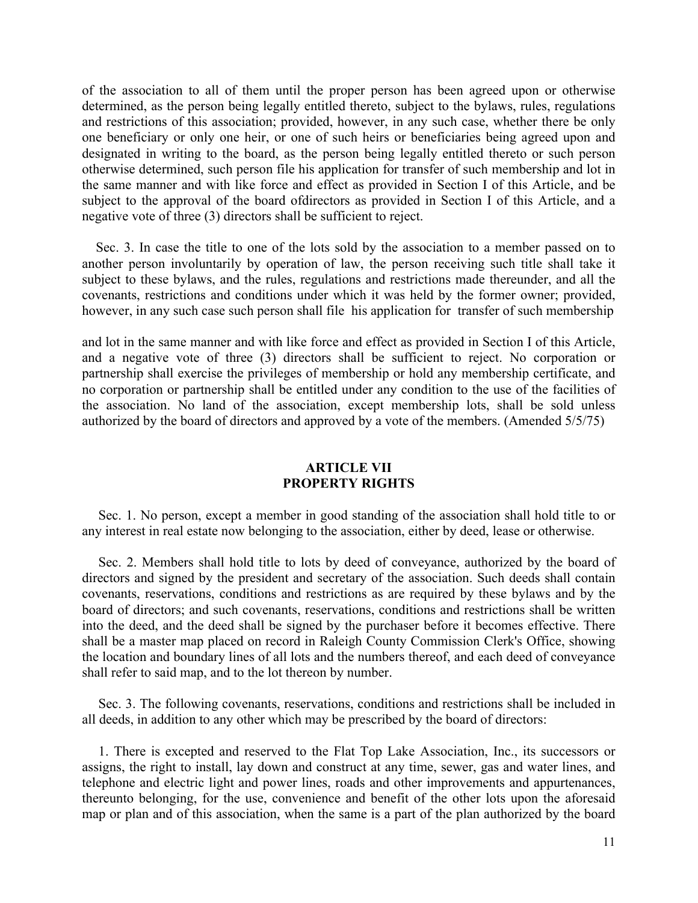of the association to all of them until the proper person has been agreed upon or otherwise determined, as the person being legally entitled thereto, subject to the bylaws, rules, regulations and restrictions of this association; provided, however, in any such case, whether there be only one beneficiary or only one heir, or one of such heirs or beneficiaries being agreed upon and designated in writing to the board, as the person being legally entitled thereto or such person otherwise determined, such person file his application for transfer of such membership and lot in the same manner and with like force and effect as provided in Section I of this Article, and be subject to the approval of the board ofdirectors as provided in Section I of this Article, and a negative vote of three (3) directors shall be sufficient to reject.

Sec. 3. In case the title to one of the lots sold by the association to a member passed on to another person involuntarily by operation of law, the person receiving such title shall take it subject to these bylaws, and the rules, regulations and restrictions made thereunder, and all the covenants, restrictions and conditions under which it was held by the former owner; provided, however, in any such case such person shall file his application for transfer of such membership

and lot in the same manner and with like force and effect as provided in Section I of this Article, and a negative vote of three (3) directors shall be sufficient to reject. No corporation or partnership shall exercise the privileges of membership or hold any membership certificate, and no corporation or partnership shall be entitled under any condition to the use of the facilities of the association. No land of the association, except membership lots, shall be sold unless authorized by the board of directors and approved by a vote of the members. (Amended 5/5/75)

### **ARTICLE VII PROPERTY RIGHTS**

Sec. 1. No person, except a member in good standing of the association shall hold title to or any interest in real estate now belonging to the association, either by deed, lease or otherwise.

Sec. 2. Members shall hold title to lots by deed of conveyance, authorized by the board of directors and signed by the president and secretary of the association. Such deeds shall contain covenants, reservations, conditions and restrictions as are required by these bylaws and by the board of directors; and such covenants, reservations, conditions and restrictions shall be written into the deed, and the deed shall be signed by the purchaser before it becomes effective. There shall be a master map placed on record in Raleigh County Commission Clerk's Office, showing the location and boundary lines of all lots and the numbers thereof, and each deed of conveyance shall refer to said map, and to the lot thereon by number.

Sec. 3. The following covenants, reservations, conditions and restrictions shall be included in all deeds, in addition to any other which may be prescribed by the board of directors:

1. There is excepted and reserved to the Flat Top Lake Association, Inc., its successors or assigns, the right to install, lay down and construct at any time, sewer, gas and water lines, and telephone and electric light and power lines, roads and other improvements and appurtenances, thereunto belonging, for the use, convenience and benefit of the other lots upon the aforesaid map or plan and of this association, when the same is a part of the plan authorized by the board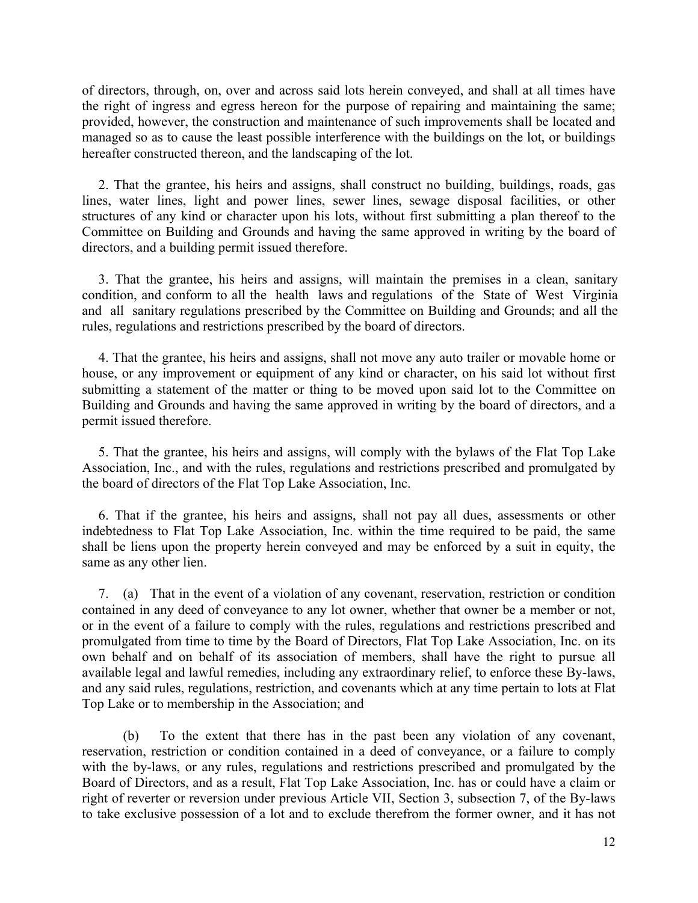of directors, through, on, over and across said lots herein conveyed, and shall at all times have the right of ingress and egress hereon for the purpose of repairing and maintaining the same; provided, however, the construction and maintenance of such improvements shall be located and managed so as to cause the least possible interference with the buildings on the lot, or buildings hereafter constructed thereon, and the landscaping of the lot.

2. That the grantee, his heirs and assigns, shall construct no building, buildings, roads, gas lines, water lines, light and power lines, sewer lines, sewage disposal facilities, or other structures of any kind or character upon his lots, without first submitting a plan thereof to the Committee on Building and Grounds and having the same approved in writing by the board of directors, and a building permit issued therefore.

3. That the grantee, his heirs and assigns, will maintain the premises in a clean, sanitary condition, and conform to all the health laws and regulations of the State of West Virginia and all sanitary regulations prescribed by the Committee on Building and Grounds; and all the rules, regulations and restrictions prescribed by the board of directors.

4. That the grantee, his heirs and assigns, shall not move any auto trailer or movable home or house, or any improvement or equipment of any kind or character, on his said lot without first submitting a statement of the matter or thing to be moved upon said lot to the Committee on Building and Grounds and having the same approved in writing by the board of directors, and a permit issued therefore.

5. That the grantee, his heirs and assigns, will comply with the bylaws of the Flat Top Lake Association, Inc., and with the rules, regulations and restrictions prescribed and promulgated by the board of directors of the Flat Top Lake Association, Inc.

6. That if the grantee, his heirs and assigns, shall not pay all dues, assessments or other indebtedness to Flat Top Lake Association, Inc. within the time required to be paid, the same shall be liens upon the property herein conveyed and may be enforced by a suit in equity, the same as any other lien.

7. (a) That in the event of a violation of any covenant, reservation, restriction or condition contained in any deed of conveyance to any lot owner, whether that owner be a member or not, or in the event of a failure to comply with the rules, regulations and restrictions prescribed and promulgated from time to time by the Board of Directors, Flat Top Lake Association, Inc. on its own behalf and on behalf of its association of members, shall have the right to pursue all available legal and lawful remedies, including any extraordinary relief, to enforce these By-laws, and any said rules, regulations, restriction, and covenants which at any time pertain to lots at Flat Top Lake or to membership in the Association; and

(b) To the extent that there has in the past been any violation of any covenant, reservation, restriction or condition contained in a deed of conveyance, or a failure to comply with the by-laws, or any rules, regulations and restrictions prescribed and promulgated by the Board of Directors, and as a result, Flat Top Lake Association, Inc. has or could have a claim or right of reverter or reversion under previous Article VII, Section 3, subsection 7, of the By-laws to take exclusive possession of a lot and to exclude therefrom the former owner, and it has not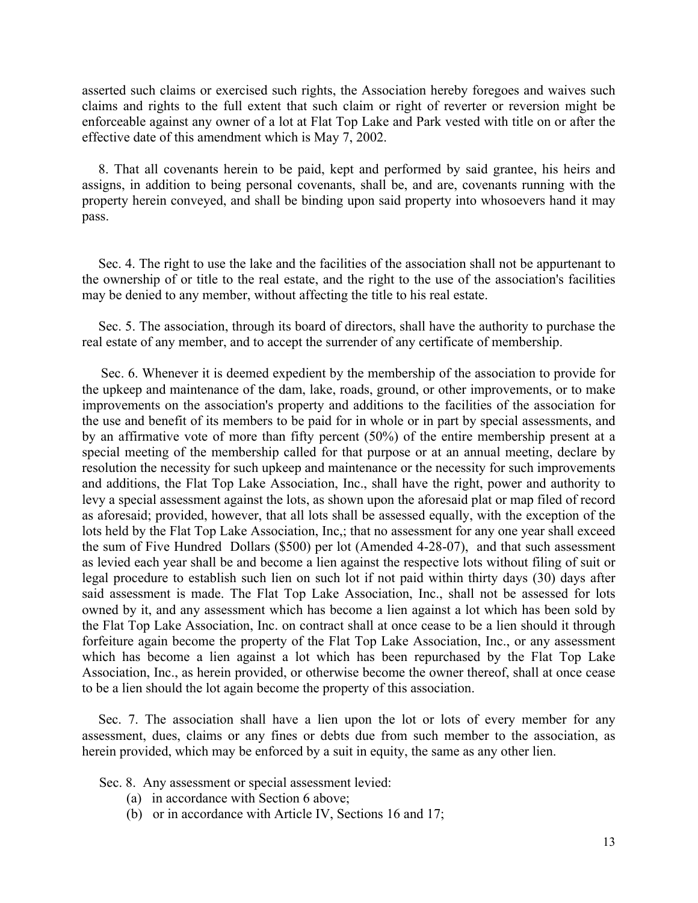asserted such claims or exercised such rights, the Association hereby foregoes and waives such claims and rights to the full extent that such claim or right of reverter or reversion might be enforceable against any owner of a lot at Flat Top Lake and Park vested with title on or after the effective date of this amendment which is May 7, 2002.

8. That all covenants herein to be paid, kept and performed by said grantee, his heirs and assigns, in addition to being personal covenants, shall be, and are, covenants running with the property herein conveyed, and shall be binding upon said property into whosoevers hand it may pass.

Sec. 4. The right to use the lake and the facilities of the association shall not be appurtenant to the ownership of or title to the real estate, and the right to the use of the association's facilities may be denied to any member, without affecting the title to his real estate.

Sec. 5. The association, through its board of directors, shall have the authority to purchase the real estate of any member, and to accept the surrender of any certificate of membership.

Sec. 6. Whenever it is deemed expedient by the membership of the association to provide for the upkeep and maintenance of the dam, lake, roads, ground, or other improvements, or to make improvements on the association's property and additions to the facilities of the association for the use and benefit of its members to be paid for in whole or in part by special assessments, and by an affirmative vote of more than fifty percent (50%) of the entire membership present at a special meeting of the membership called for that purpose or at an annual meeting, declare by resolution the necessity for such upkeep and maintenance or the necessity for such improvements and additions, the Flat Top Lake Association, Inc., shall have the right, power and authority to levy a special assessment against the lots, as shown upon the aforesaid plat or map filed of record as aforesaid; provided, however, that all lots shall be assessed equally, with the exception of the lots held by the Flat Top Lake Association, Inc,; that no assessment for any one year shall exceed the sum of Five Hundred Dollars (\$500) per lot (Amended 4-28-07), and that such assessment as levied each year shall be and become a lien against the respective lots without filing of suit or legal procedure to establish such lien on such lot if not paid within thirty days (30) days after said assessment is made. The Flat Top Lake Association, Inc., shall not be assessed for lots owned by it, and any assessment which has become a lien against a lot which has been sold by the Flat Top Lake Association, Inc. on contract shall at once cease to be a lien should it through forfeiture again become the property of the Flat Top Lake Association, Inc., or any assessment which has become a lien against a lot which has been repurchased by the Flat Top Lake Association, Inc., as herein provided, or otherwise become the owner thereof, shall at once cease to be a lien should the lot again become the property of this association.

Sec. 7. The association shall have a lien upon the lot or lots of every member for any assessment, dues, claims or any fines or debts due from such member to the association, as herein provided, which may be enforced by a suit in equity, the same as any other lien.

Sec. 8. Any assessment or special assessment levied:

- (a) in accordance with Section 6 above;
- (b) or in accordance with Article IV, Sections 16 and 17;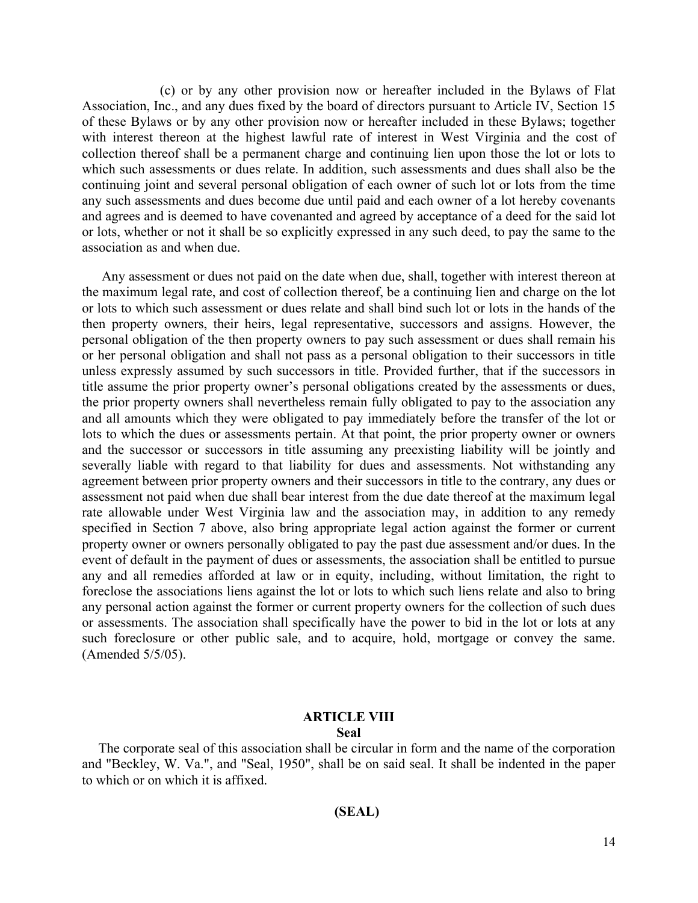(c) or by any other provision now or hereafter included in the Bylaws of Flat Association, Inc., and any dues fixed by the board of directors pursuant to Article IV, Section 15 of these Bylaws or by any other provision now or hereafter included in these Bylaws; together with interest thereon at the highest lawful rate of interest in West Virginia and the cost of collection thereof shall be a permanent charge and continuing lien upon those the lot or lots to which such assessments or dues relate. In addition, such assessments and dues shall also be the continuing joint and several personal obligation of each owner of such lot or lots from the time any such assessments and dues become due until paid and each owner of a lot hereby covenants and agrees and is deemed to have covenanted and agreed by acceptance of a deed for the said lot or lots, whether or not it shall be so explicitly expressed in any such deed, to pay the same to the association as and when due.

Any assessment or dues not paid on the date when due, shall, together with interest thereon at the maximum legal rate, and cost of collection thereof, be a continuing lien and charge on the lot or lots to which such assessment or dues relate and shall bind such lot or lots in the hands of the then property owners, their heirs, legal representative, successors and assigns. However, the personal obligation of the then property owners to pay such assessment or dues shall remain his or her personal obligation and shall not pass as a personal obligation to their successors in title unless expressly assumed by such successors in title. Provided further, that if the successors in title assume the prior property owner's personal obligations created by the assessments or dues, the prior property owners shall nevertheless remain fully obligated to pay to the association any and all amounts which they were obligated to pay immediately before the transfer of the lot or lots to which the dues or assessments pertain. At that point, the prior property owner or owners and the successor or successors in title assuming any preexisting liability will be jointly and severally liable with regard to that liability for dues and assessments. Not withstanding any agreement between prior property owners and their successors in title to the contrary, any dues or assessment not paid when due shall bear interest from the due date thereof at the maximum legal rate allowable under West Virginia law and the association may, in addition to any remedy specified in Section 7 above, also bring appropriate legal action against the former or current property owner or owners personally obligated to pay the past due assessment and/or dues. In the event of default in the payment of dues or assessments, the association shall be entitled to pursue any and all remedies afforded at law or in equity, including, without limitation, the right to foreclose the associations liens against the lot or lots to which such liens relate and also to bring any personal action against the former or current property owners for the collection of such dues or assessments. The association shall specifically have the power to bid in the lot or lots at any such foreclosure or other public sale, and to acquire, hold, mortgage or convey the same. (Amended 5/5/05).

### **ARTICLE VIII Seal**

The corporate seal of this association shall be circular in form and the name of the corporation and "Beckley, W. Va.", and "Seal, 1950", shall be on said seal. It shall be indented in the paper to which or on which it is affixed.